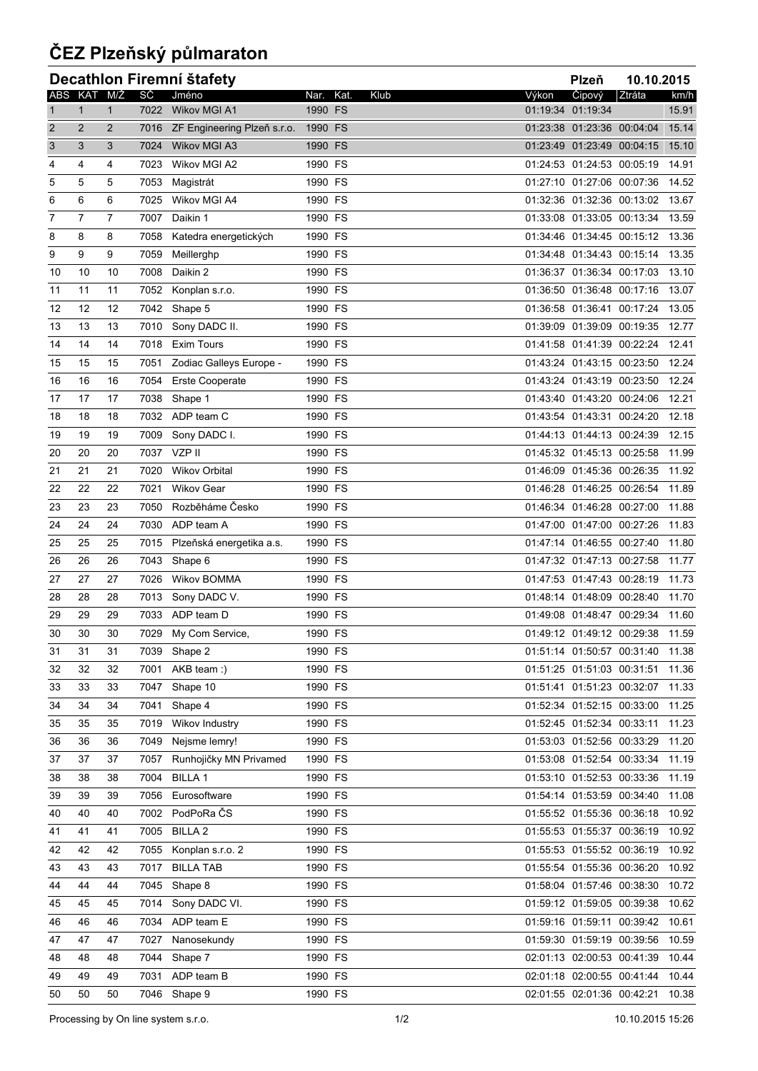## **ČEZ Plzeňský půlmaraton**

| Decathlon Firemní štafety<br>Plzeň<br>10.10.2015 |                |                |      |                                  |         |              |       |                                  |        |       |
|--------------------------------------------------|----------------|----------------|------|----------------------------------|---------|--------------|-------|----------------------------------|--------|-------|
|                                                  |                | ABS KAT M/Ž    | SČ   | Jméno                            | Nar.    | Kat.<br>Klub | Výkon | Čipový                           | Ztráta | km/h  |
| $\mathbf{1}$                                     | $\mathbf{1}$   | $\mathbf{1}$   | 7022 | Wikov MGI A1                     | 1990 FS |              |       | 01:19:34 01:19:34                |        | 15.91 |
| $\overline{2}$                                   | $\overline{2}$ | $\overline{2}$ |      | 7016 ZF Engineering Plzeň s.r.o. | 1990 FS |              |       | 01:23:38 01:23:36 00:04:04       |        | 15.14 |
| 3                                                | 3              | 3              | 7024 | <b>Wikov MGI A3</b>              | 1990 FS |              |       | 01:23:49 01:23:49 00:04:15       |        | 15.10 |
| 4                                                | 4              | 4              | 7023 | Wikov MGI A2                     | 1990 FS |              |       | 01:24:53 01:24:53 00:05:19       |        | 14.91 |
| 5                                                | 5              | 5              | 7053 | Magistrát                        | 1990 FS |              |       | 01:27:10 01:27:06 00:07:36       |        | 14.52 |
| 6                                                | 6              | 6              | 7025 | Wikov MGI A4                     | 1990 FS |              |       | 01:32:36 01:32:36 00:13:02 13.67 |        |       |
| $\overline{7}$                                   | $\overline{7}$ | $\overline{7}$ | 7007 | Daikin 1                         | 1990 FS |              |       | 01:33:08 01:33:05 00:13:34       |        | 13.59 |
| 8                                                | 8              | 8              | 7058 | Katedra energetických            | 1990 FS |              |       | 01:34:46 01:34:45 00:15:12       |        | 13.36 |
| 9                                                | 9              | 9              | 7059 | Meillerghp                       | 1990 FS |              |       | 01:34:48 01:34:43 00:15:14       |        | 13.35 |
| 10                                               | 10             | 10             | 7008 | Daikin 2                         | 1990 FS |              |       | 01:36:37 01:36:34 00:17:03       |        | 13.10 |
| 11                                               | 11             | 11             | 7052 | Konplan s.r.o.                   | 1990 FS |              |       | 01:36:50 01:36:48 00:17:16       |        | 13.07 |
| 12                                               | 12             | 12             | 7042 | Shape 5                          | 1990 FS |              |       | 01:36:58 01:36:41 00:17:24       |        | 13.05 |
| 13                                               | 13             | 13             | 7010 | Sony DADC II.                    | 1990 FS |              |       | 01:39:09 01:39:09 00:19:35       |        | 12.77 |
| 14                                               | 14             | 14             | 7018 | <b>Exim Tours</b>                | 1990 FS |              |       | 01:41:58 01:41:39 00:22:24       |        | 12.41 |
| 15                                               | 15             | 15             | 7051 | Zodiac Galleys Europe -          | 1990 FS |              |       | 01:43:24 01:43:15 00:23:50       |        | 12.24 |
| 16                                               | 16             | 16             | 7054 | <b>Erste Cooperate</b>           | 1990 FS |              |       | 01:43:24 01:43:19 00:23:50       |        | 12.24 |
| 17                                               | 17             | 17             | 7038 | Shape 1                          | 1990 FS |              |       | 01:43:40 01:43:20 00:24:06 12.21 |        |       |
| 18                                               | 18             | 18             | 7032 | ADP team C                       | 1990 FS |              |       | 01:43:54 01:43:31 00:24:20       |        | 12.18 |
| 19                                               | 19             | 19             | 7009 | Sony DADC I.                     | 1990 FS |              |       | 01:44:13 01:44:13 00:24:39       |        | 12.15 |
| 20                                               | 20             | 20             | 7037 | VZP II                           | 1990 FS |              |       | 01:45:32 01:45:13 00:25:58       |        | 11.99 |
| 21                                               | 21             | 21             | 7020 | <b>Wikov Orbital</b>             | 1990 FS |              |       | 01:46:09 01:45:36 00:26:35 11.92 |        |       |
| 22                                               | 22             | 22             | 7021 | <b>Wikov Gear</b>                | 1990 FS |              |       | 01:46:28 01:46:25 00:26:54       |        | 11.89 |
| 23                                               | 23             | 23             | 7050 | Rozběháme Česko                  | 1990 FS |              |       | 01:46:34 01:46:28 00:27:00       |        | 11.88 |
| 24                                               | 24             | 24             | 7030 | ADP team A                       | 1990 FS |              |       | 01:47:00 01:47:00 00:27:26       |        | 11.83 |
| 25                                               | 25             | 25             | 7015 | Plzeňská energetika a.s.         | 1990 FS |              |       | 01:47:14 01:46:55 00:27:40       |        | 11.80 |
| 26                                               | 26             | 26             | 7043 | Shape 6                          | 1990 FS |              |       | 01:47:32 01:47:13 00:27:58       |        | 11.77 |
| 27                                               | 27             | 27             | 7026 | Wikov BOMMA                      | 1990 FS |              |       | 01:47:53 01:47:43 00:28:19       |        | 11.73 |
| 28                                               | 28             | 28             | 7013 | Sony DADC V.                     | 1990 FS |              |       | 01:48:14 01:48:09 00:28:40       |        | 11.70 |
| 29                                               | 29             | 29             | 7033 | ADP team D                       | 1990 FS |              |       | 01:49:08 01:48:47 00:29:34       |        | 11.60 |
| 30                                               | 30             | 30             | 7029 | My Com Service,                  | 1990 FS |              |       | 01:49:12 01:49:12 00:29:38       |        | 11.59 |
| 31                                               | 31             | 31             | 7039 | Shape 2                          | 1990 FS |              |       | 01:51:14 01:50:57 00:31:40 11.38 |        |       |
| 32                                               | 32             | 32             | 7001 | AKB team :)                      | 1990 FS |              |       | 01:51:25 01:51:03 00:31:51 11.36 |        |       |
| 33                                               | 33             | 33             | 7047 | Shape 10                         | 1990 FS |              |       | 01:51:41 01:51:23 00:32:07 11.33 |        |       |
| 34                                               | 34             | 34             | 7041 | Shape 4                          | 1990 FS |              |       | 01:52:34 01:52:15 00:33:00       |        | 11.25 |
| 35                                               | 35             | 35             | 7019 | Wikov Industry                   | 1990 FS |              |       | 01:52:45 01:52:34 00:33:11       |        | 11.23 |
| 36                                               | 36             | 36             | 7049 | Nejsme lemry!                    | 1990 FS |              |       | 01:53:03 01:52:56 00:33:29       |        | 11.20 |
| 37                                               | 37             | 37             | 7057 | Runhojičky MN Privamed           | 1990 FS |              |       | 01:53:08 01:52:54 00:33:34       |        | 11.19 |
| 38                                               | 38             | 38             | 7004 | <b>BILLA1</b>                    | 1990 FS |              |       | 01:53:10 01:52:53 00:33:36       |        | 11.19 |
| 39                                               | 39             | 39             | 7056 | Eurosoftware                     | 1990 FS |              |       | 01:54:14 01:53:59 00:34:40 11.08 |        |       |
| 40                                               | 40             | 40             | 7002 | PodPoRa ČS                       | 1990 FS |              |       | 01:55:52 01:55:36 00:36:18       |        | 10.92 |
| 41                                               | 41             | 41             | 7005 | <b>BILLA 2</b>                   | 1990 FS |              |       | 01:55:53 01:55:37 00:36:19       |        | 10.92 |
| 42                                               | 42             | 42             | 7055 | Konplan s.r.o. 2                 | 1990 FS |              |       | 01:55:53 01:55:52 00:36:19       |        | 10.92 |
| 43                                               | 43             | 43             | 7017 | <b>BILLA TAB</b>                 | 1990 FS |              |       | 01:55:54 01:55:36 00:36:20       |        | 10.92 |
| 44                                               | 44             | 44             | 7045 | Shape 8                          | 1990 FS |              |       | 01:58:04 01:57:46 00:38:30       |        | 10.72 |
| 45                                               | 45             | 45             | 7014 | Sony DADC VI.                    | 1990 FS |              |       | 01:59:12 01:59:05 00:39:38       |        | 10.62 |
| 46                                               | 46             | 46             | 7034 | ADP team E                       | 1990 FS |              |       | 01:59:16 01:59:11 00:39:42 10.61 |        |       |
| 47                                               | 47             | 47             | 7027 | Nanosekundy                      | 1990 FS |              |       | 01:59:30 01:59:19 00:39:56       |        | 10.59 |
| 48                                               | 48             | 48             | 7044 | Shape 7                          | 1990 FS |              |       | 02:01:13 02:00:53 00:41:39       |        | 10.44 |
| 49                                               | 49             | 49             | 7031 | ADP team B                       | 1990 FS |              |       | 02:01:18 02:00:55 00:41:44       |        | 10.44 |
| 50                                               | 50             | 50             | 7046 | Shape 9                          | 1990 FS |              |       | 02:01:55 02:01:36 00:42:21 10.38 |        |       |